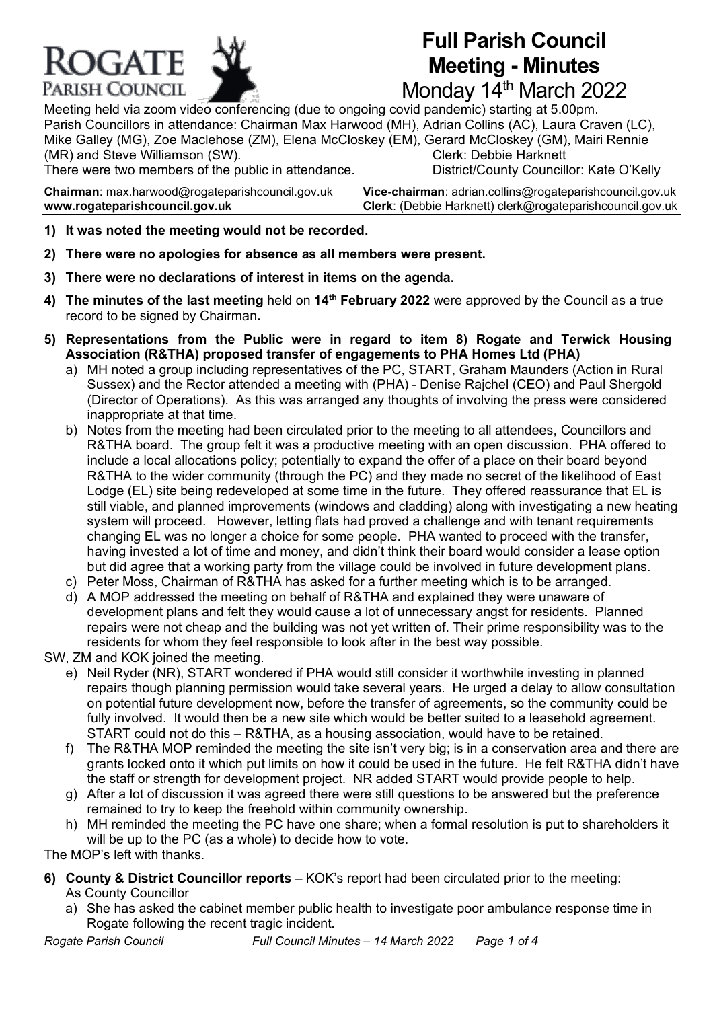

# **Full Parish Council Meeting - Minutes**

Monday 14<sup>th</sup> March 2022

Meeting held via zoom video conferencing (due to ongoing covid pandemic) starting at 5.00pm. Parish Councillors in attendance: Chairman Max Harwood (MH), Adrian Collins (AC), Laura Craven (LC), Mike Galley (MG), Zoe Maclehose (ZM), Elena McCloskey (EM), Gerard McCloskey (GM), Mairi Rennie (MR) and Steve Williamson (SW). Clerk: Debbie Harknett There were two members of the public in attendance. District/County Councillor: Kate O'Kelly

**Chairman**: max.harwoo[d@rogateparishcouncil.gov.uk](mailto:max.harwood@rogateparishcouncil.gov.uk) **Vice-chairman**: adrian.collins@rogateparishcouncil.gov.uk **www.rogateparishcouncil.gov.uk Clerk**: (Debbie Harknett) [clerk@rogateparishcouncil.gov.uk](mailto:clerk@rogateparishcouncil.gov.uk)

- **1) It was noted the meeting would not be recorded.**
- **2) There were no apologies for absence as all members were present.**
- **3) There were no declarations of interest in items on the agenda.**
- **4) The minutes of the last meeting** held on **14th February 2022** were approved by the Council as a true record to be signed by Chairman**.**
- **5) Representations from the Public were in regard to item 8) Rogate and Terwick Housing Association (R&THA) proposed transfer of engagements to PHA Homes Ltd (PHA)**
	- a) MH noted a group including representatives of the PC, START, Graham Maunders (Action in Rural Sussex) and the Rector attended a meeting with (PHA) - Denise Rajchel (CEO) and Paul Shergold (Director of Operations). As this was arranged any thoughts of involving the press were considered inappropriate at that time.
	- b) Notes from the meeting had been circulated prior to the meeting to all attendees, Councillors and R&THA board. The group felt it was a productive meeting with an open discussion. PHA offered to include a local allocations policy; potentially to expand the offer of a place on their board beyond R&THA to the wider community (through the PC) and they made no secret of the likelihood of East Lodge (EL) site being redeveloped at some time in the future. They offered reassurance that EL is still viable, and planned improvements (windows and cladding) along with investigating a new heating system will proceed. However, letting flats had proved a challenge and with tenant requirements changing EL was no longer a choice for some people. PHA wanted to proceed with the transfer, having invested a lot of time and money, and didn't think their board would consider a lease option but did agree that a working party from the village could be involved in future development plans.
	- c) Peter Moss, Chairman of R&THA has asked for a further meeting which is to be arranged.
	- d) A MOP addressed the meeting on behalf of R&THA and explained they were unaware of development plans and felt they would cause a lot of unnecessary angst for residents. Planned repairs were not cheap and the building was not yet written of. Their prime responsibility was to the residents for whom they feel responsible to look after in the best way possible.
- SW, ZM and KOK joined the meeting.
	- e) Neil Ryder (NR), START wondered if PHA would still consider it worthwhile investing in planned repairs though planning permission would take several years. He urged a delay to allow consultation on potential future development now, before the transfer of agreements, so the community could be fully involved. It would then be a new site which would be better suited to a leasehold agreement. START could not do this – R&THA, as a housing association, would have to be retained.
	- f) The R&THA MOP reminded the meeting the site isn't very big; is in a conservation area and there are grants locked onto it which put limits on how it could be used in the future. He felt R&THA didn't have the staff or strength for development project. NR added START would provide people to help.
	- g) After a lot of discussion it was agreed there were still questions to be answered but the preference remained to try to keep the freehold within community ownership.
	- h) MH reminded the meeting the PC have one share; when a formal resolution is put to shareholders it will be up to the PC (as a whole) to decide how to vote.
- The MOP's left with thanks.

**6) County & District Councillor reports** – KOK's report had been circulated prior to the meeting:

As County Councillor

a) She has asked the cabinet member public health to investigate poor ambulance response time in Rogate following the recent tragic incident.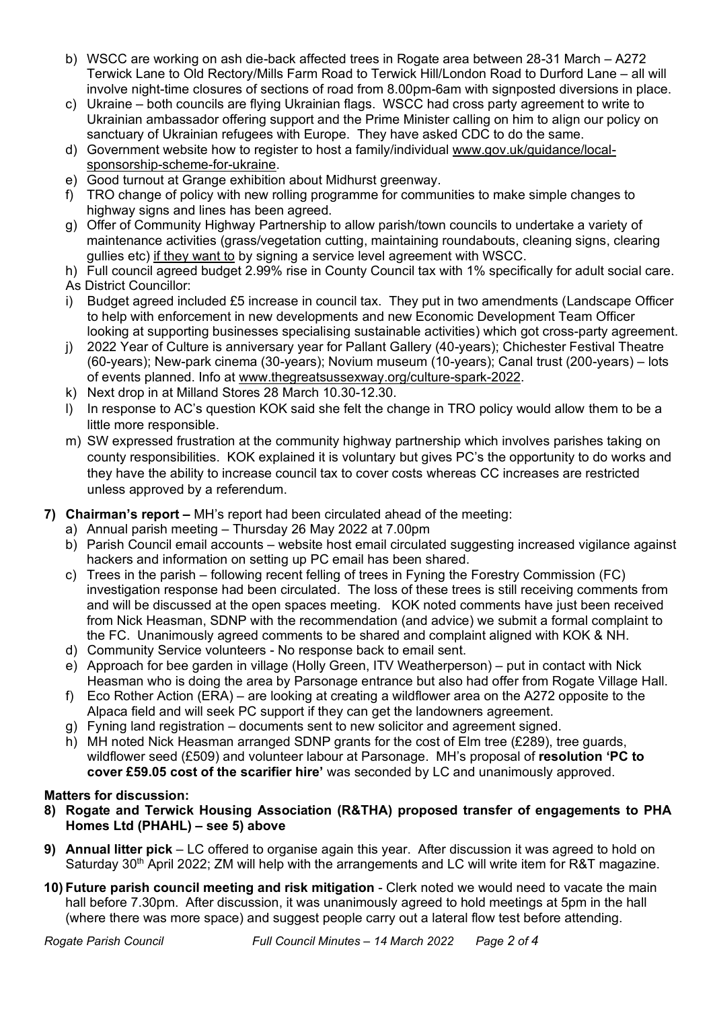- b) WSCC are working on ash die-back affected trees in Rogate area between 28-31 March A272 Terwick Lane to Old Rectory/Mills Farm Road to Terwick Hill/London Road to Durford Lane – all will involve night-time closures of sections of road from 8.00pm-6am with signposted diversions in place.
- c) Ukraine both councils are flying Ukrainian flags. WSCC had cross party agreement to write to Ukrainian ambassador offering support and the Prime Minister calling on him to align our policy on sanctuary of Ukrainian refugees with Europe. They have asked CDC to do the same.
- d) Government website how to register to host a family/individual [www.gov.uk/guidance/local](http://www.gov.uk/guidance/local-sponsorship-scheme-for-ukraine)[sponsorship-scheme-for-ukraine.](http://www.gov.uk/guidance/local-sponsorship-scheme-for-ukraine)
- e) Good turnout at Grange exhibition about Midhurst greenway.
- f) TRO change of policy with new rolling programme for communities to make simple changes to highway signs and lines has been agreed.
- g) Offer of Community Highway Partnership to allow parish/town councils to undertake a variety of maintenance activities (grass/vegetation cutting, maintaining roundabouts, cleaning signs, clearing gullies etc) if they want to by signing a service level agreement with WSCC.

h) Full council agreed budget 2.99% rise in County Council tax with 1% specifically for adult social care. As District Councillor:

- i) Budget agreed included £5 increase in council tax. They put in two amendments (Landscape Officer to help with enforcement in new developments and new Economic Development Team Officer looking at supporting businesses specialising sustainable activities) which got cross-party agreement.
- j) 2022 Year of Culture is anniversary year for Pallant Gallery (40-years); Chichester Festival Theatre (60-years); New-park cinema (30-years); Novium museum (10-years); Canal trust (200-years) – lots of events planned. Info at [www.thegreatsussexway.org/culture-spark-2022.](http://www.thegreatsussexway.org/culture-spark-2022)
- k) Next drop in at Milland Stores 28 March 10.30-12.30.
- l) In response to AC's question KOK said she felt the change in TRO policy would allow them to be a little more responsible.
- m) SW expressed frustration at the community highway partnership which involves parishes taking on county responsibilities. KOK explained it is voluntary but gives PC's the opportunity to do works and they have the ability to increase council tax to cover costs whereas CC increases are restricted unless approved by a referendum.
- **7) Chairman's report –** MH's report had been circulated ahead of the meeting:
	- a) Annual parish meeting Thursday 26 May 2022 at 7.00pm
	- b) Parish Council email accounts website host email circulated suggesting increased vigilance against hackers and information on setting up PC email has been shared.
	- c) Trees in the parish following recent felling of trees in Fyning the Forestry Commission (FC) investigation response had been circulated. The loss of these trees is still receiving comments from and will be discussed at the open spaces meeting. KOK noted comments have just been received from Nick Heasman, SDNP with the recommendation (and advice) we submit a formal complaint to the FC. Unanimously agreed comments to be shared and complaint aligned with KOK & NH.
	- d) Community Service volunteers No response back to email sent.
	- e) Approach for bee garden in village (Holly Green, ITV Weatherperson) put in contact with Nick Heasman who is doing the area by Parsonage entrance but also had offer from Rogate Village Hall.
	- f) Eco Rother Action (ERA) are looking at creating a wildflower area on the A272 opposite to the Alpaca field and will seek PC support if they can get the landowners agreement.
	- g) Fyning land registration documents sent to new solicitor and agreement signed.
	- h) MH noted Nick Heasman arranged SDNP grants for the cost of Elm tree (£289), tree guards, wildflower seed (£509) and volunteer labour at Parsonage. MH's proposal of **resolution 'PC to cover £59.05 cost of the scarifier hire'** was seconded by LC and unanimously approved.

#### **Matters for discussion:**

- **8) Rogate and Terwick Housing Association (R&THA) proposed transfer of engagements to PHA Homes Ltd (PHAHL) – see 5) above**
- **9) Annual litter pick** LC offered to organise again this year. After discussion it was agreed to hold on Saturday 30<sup>th</sup> April 2022; ZM will help with the arrangements and LC will write item for R&T magazine.
- **10) Future parish council meeting and risk mitigation** Clerk noted we would need to vacate the main hall before 7.30pm. After discussion, it was unanimously agreed to hold meetings at 5pm in the hall (where there was more space) and suggest people carry out a lateral flow test before attending.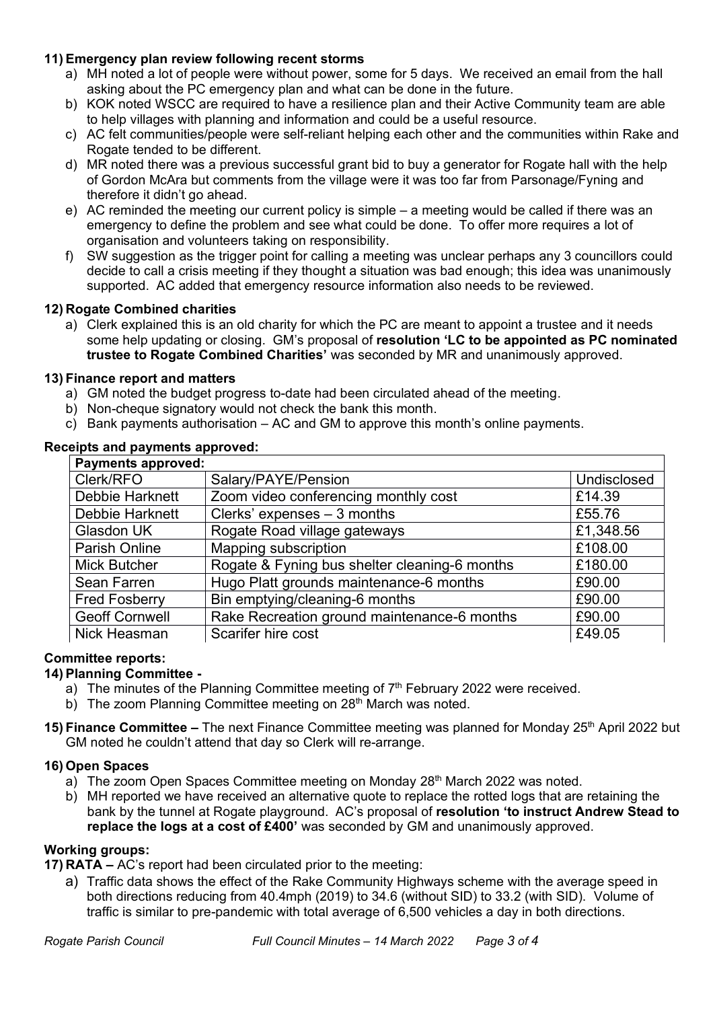## **11) Emergency plan review following recent storms**

- a) MH noted a lot of people were without power, some for 5 days. We received an email from the hall asking about the PC emergency plan and what can be done in the future.
- b) KOK noted WSCC are required to have a resilience plan and their Active Community team are able to help villages with planning and information and could be a useful resource.
- c) AC felt communities/people were self-reliant helping each other and the communities within Rake and Rogate tended to be different.
- d) MR noted there was a previous successful grant bid to buy a generator for Rogate hall with the help of Gordon McAra but comments from the village were it was too far from Parsonage/Fyning and therefore it didn't go ahead.
- e) AC reminded the meeting our current policy is simple a meeting would be called if there was an emergency to define the problem and see what could be done. To offer more requires a lot of organisation and volunteers taking on responsibility.
- f) SW suggestion as the trigger point for calling a meeting was unclear perhaps any 3 councillors could decide to call a crisis meeting if they thought a situation was bad enough; this idea was unanimously supported. AC added that emergency resource information also needs to be reviewed.

## **12) Rogate Combined charities**

a) Clerk explained this is an old charity for which the PC are meant to appoint a trustee and it needs some help updating or closing. GM's proposal of **resolution 'LC to be appointed as PC nominated trustee to Rogate Combined Charities'** was seconded by MR and unanimously approved.

#### **13) Finance report and matters**

- a) GM noted the budget progress to-date had been circulated ahead of the meeting.
- b) Non-cheque signatory would not check the bank this month.
- c) Bank payments authorisation AC and GM to approve this month's online payments.

| <b>Payments approved:</b> |                                               |             |
|---------------------------|-----------------------------------------------|-------------|
| Clerk/RFO                 | Salary/PAYE/Pension                           | Undisclosed |
| <b>Debbie Harknett</b>    | Zoom video conferencing monthly cost          | £14.39      |
| <b>Debbie Harknett</b>    | Clerks' expenses $-3$ months                  | £55.76      |
| <b>Glasdon UK</b>         | Rogate Road village gateways                  | £1,348.56   |
| <b>Parish Online</b>      | Mapping subscription                          | £108.00     |
| <b>Mick Butcher</b>       | Rogate & Fyning bus shelter cleaning-6 months | £180.00     |
| Sean Farren               | Hugo Platt grounds maintenance-6 months       | £90.00      |
| <b>Fred Fosberry</b>      | Bin emptying/cleaning-6 months                | £90.00      |
| <b>Geoff Cornwell</b>     | Rake Recreation ground maintenance-6 months   | £90.00      |
| Nick Heasman              | Scarifer hire cost                            | £49.05      |

## **Receipts and payments approved:**

## **Committee reports:**

## **14) Planning Committee -**

- a) The minutes of the Planning Committee meeting of  $7<sup>th</sup>$  February 2022 were received.
- b) The zoom Planning Committee meeting on 28<sup>th</sup> March was noted.
- **15) Finance Committee** The next Finance Committee meeting was planned for Monday 25<sup>th</sup> April 2022 but GM noted he couldn't attend that day so Clerk will re-arrange.

#### **16) Open Spaces**

- a) The zoom Open Spaces Committee meeting on Monday 28<sup>th</sup> March 2022 was noted.
- b) MH reported we have received an alternative quote to replace the rotted logs that are retaining the bank by the tunnel at Rogate playground. AC's proposal of **resolution 'to instruct Andrew Stead to replace the logs at a cost of £400'** was seconded by GM and unanimously approved.

#### **Working groups:**

**17) RATA –** AC's report had been circulated prior to the meeting:

a) Traffic data shows the effect of the Rake Community Highways scheme with the average speed in both directions reducing from 40.4mph (2019) to 34.6 (without SID) to 33.2 (with SID). Volume of traffic is similar to pre-pandemic with total average of 6,500 vehicles a day in both directions.